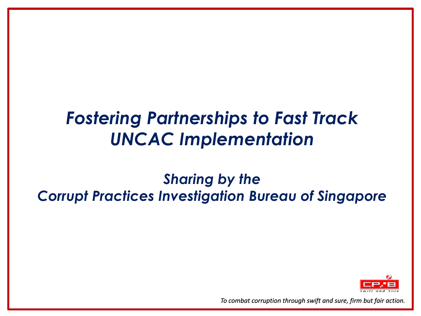# *Fostering Partnerships to Fast Track UNCAC Implementation*

# *Sharing by the Corrupt Practices Investigation Bureau of Singapore*

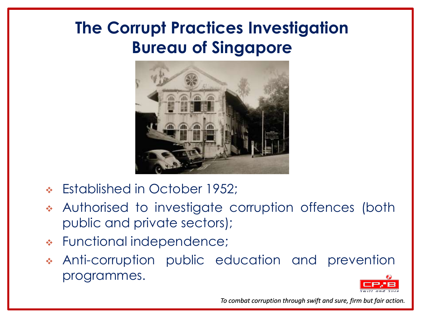# **The Corrupt Practices Investigation Bureau of Singapore**



- Established in October 1952;
- Authorised to investigate corruption offences (both public and private sectors);
- Functional independence;
- Anti-corruption public education and prevention programmes.

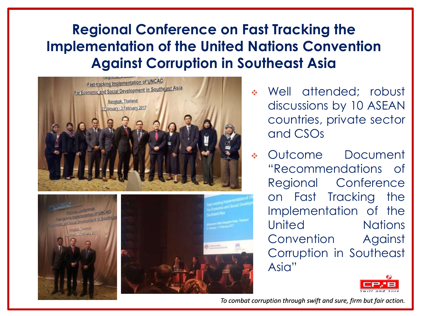# **Regional Conference on Fast Tracking the Implementation of the United Nations Convention Against Corruption in Southeast Asia**



- Well attended; robust discussions by 10 ASEAN countries, private sector and CSOs
- Outcome Document "Recommendations of Regional Conference on Fast Tracking the Implementation of the United Nations Convention Against Corruption in Southeast Asia"

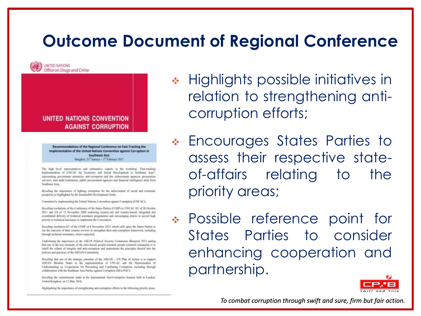# **Outcome Document of Regional Conference**



#### UNITED NATIONS CONVENTION **AGAINST CORRUPTION**

Recommendations of the Regional Conference on Fast-Tracking the Implementation of the United Nations Convention against Corruption in **Southeast Asia** Banglok, 11" Instance - 3" February 2017.

The high level representatives and substantive experts in the workshop "Fast-tracking Implementation of UNCAC for Economic and Social Development in Southeast Asia"; representing government ministries, anti-comption and law enforcement agencies, provicutionservices, state audit institutions, public procerment agencies and financial intelligence units from Southnist Asia,

Reculing the importance of fighting corruption for the achievement of social and communic prosperity as highlighted by the Sentamable Development Grads;

Consertinal to implementing the United Nations Convention against Comunicat (UNCAC);

Recelling resolutions of the Conference of the States Parties (COSP) to UNCAC 4/1 of 28 October 2011 and 3/4 of 13 November 2009 andorsing country-bal and country-based, integrated and conditional delivery of technical assistance programmes and encouraging shears to accord high priority to technical assistance to implement the Convention;

Bevelling moduling 6/1 of the COSP of 6 November 2015 which calls upon the States Parties to use the entrone of their country strictes to strengthen their anti-corruption framework, including iteorgh technical assistance, where requested;

Diderlining the importance of the AXLAN Political Security-Commonity Blasprint 2013 stating that one of the key claiments of the rules-based, people-oriented, people contenut continuely is to autill the culture of integrity and anti-comption and maintream the principles thereof into the policies and practices of the ASEAN Convenanty;

Reculling that one of the strategic priorities of the ASEAN - UN Plan of Action is to support ASEAN Member fixem in the implementation of UNCAC and the Memorandum of Understanding on Cooperation for Preventing and Combating Corruption, including through collaboration with the fiontheast Axia Parties against Corruption (NEA-PAC):

Recalling the commitments made at the International Anti-Comption Summit held in London, United Kingdom, im 12 May 2016.

Highlightong the importance of strengthening anti-corruption efforts in the following priority areas.

- ◆ Highlights possible initiatives in relation to strengthening anticorruption efforts;
- Encourages States Parties to assess their respective stateof-affairs relating to the priority areas;
- Possible reference point for States Parties to consider enhancing cooperation and partnership.

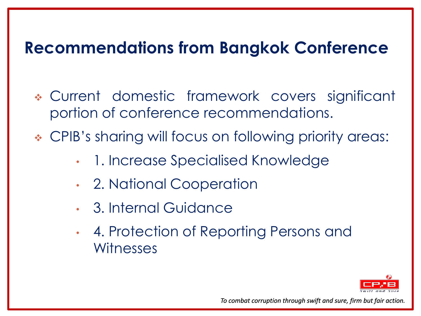# **Recommendations from Bangkok Conference**

- Current domestic framework covers significant portion of conference recommendations.
- CPIB's sharing will focus on following priority areas:
	- 1. Increase Specialised Knowledge
	- 2. National Cooperation
	- 3. Internal Guidance
	- 4. Protection of Reporting Persons and **Witnesses**

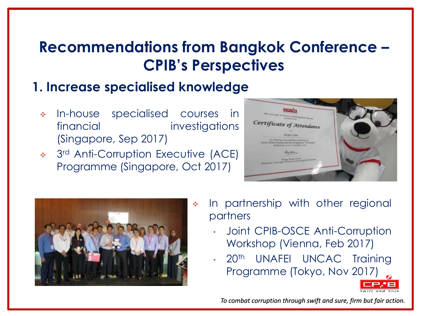#### **1. Increase specialised knowledge**

- In-house specialised courses in financial investigations (Singapore, Sep 2017)
- 3<sup>rd</sup> Anti-Corruption Executive (ACE) Programme (Singapore, Oct 2017)





- $\cdot$  In partnership with other regional partners
	- Joint CPIB-OSCE Anti-Corruption Workshop (Vienna, Feb 2017)
	- 20<sup>th</sup> UNAFEI UNCAC Training Programme (Tokyo, Nov 2017)

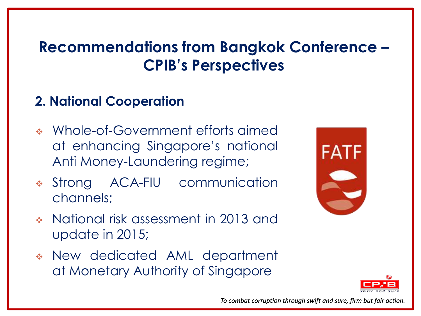### **2. National Cooperation**

- Whole-of-Government efforts aimed at enhancing Singapore's national Anti Money-Laundering regime;
- Strong ACA-FIU communication channels;
- National risk assessment in 2013 and update in 2015;
- New dedicated AML department at Monetary Authority of Singapore



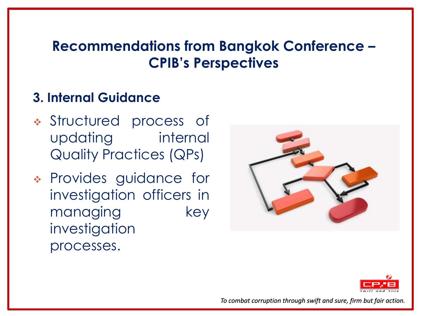#### **3. Internal Guidance**

- Structured process of updating internal Quality Practices (QPs)
- Provides guidance for investigation officers in managing key investigation processes.



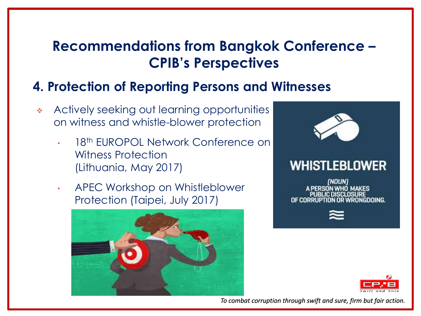#### **4. Protection of Reporting Persons and Witnesses**

- Actively seeking out learning opportunities on witness and whistle-blower protection
	- 18<sup>th</sup> EUROPOL Network Conference on Witness Protection (Lithuania, May 2017)
	- APEC Workshop on Whistleblower Protection (Taipei, July 2017)





#### WHISTLEBLOWER

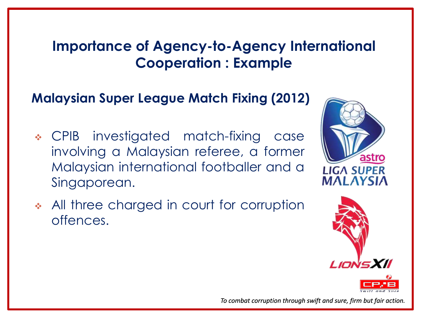# **Importance of Agency-to-Agency International Cooperation : Example**

### **Malaysian Super League Match Fixing (2012)**

- CPIB investigated match-fixing case involving a Malaysian referee, a former Malaysian international footballer and a Singaporean.
- All three charged in court for corruption offences.





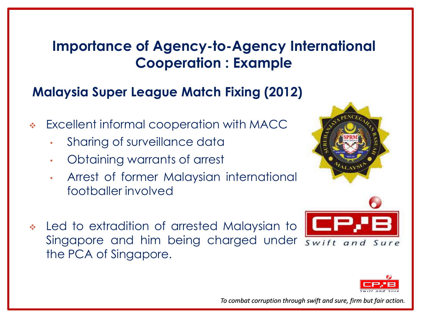# **Importance of Agency-to-Agency International Cooperation : Example**

#### **Malaysia Super League Match Fixing (2012)**

- Excellent informal cooperation with MACC
	- Sharing of surveillance data
	- Obtaining warrants of arrest
	- Arrest of former Malaysian international footballer involved







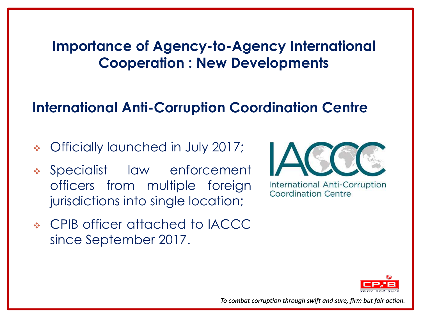### **Importance of Agency-to-Agency International Cooperation : New Developments**

# **International Anti-Corruption Coordination Centre**

- Officially launched in July 2017;
- Specialist law enforcement officers from multiple foreign jurisdictions into single location;
- CPIB officer attached to IACCC since September 2017.



**International Anti-Corruption Coordination Centre** 

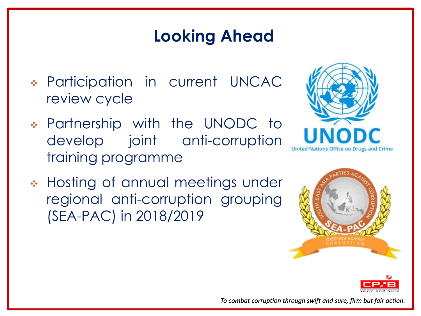# **Looking Ahead**

- Participation in current UNCAC review cycle
- Partnership with the UNODC to develop joint anti-corruption training programme



\* Hosting of annual meetings under regional anti-corruption grouping (SEA-PAC) in 2018/2019